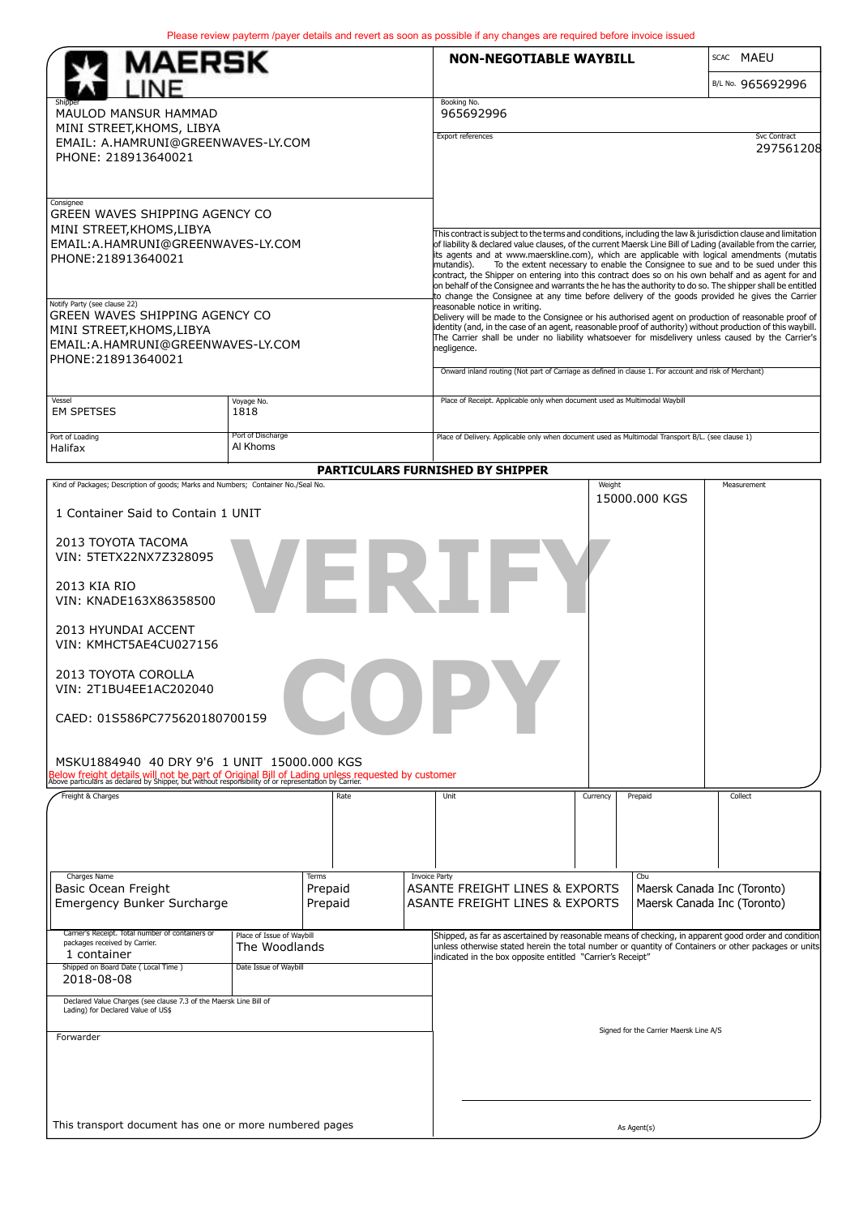|                                                                                                                                                                                                         |                           |                    |                                                                                                                                                                                                            | Please review payterm /payer details and revert as soon as possible if any changes are required before invoice issued                                                                                                                                                                                                                                                  |                   |               |                                                            |  |  |
|---------------------------------------------------------------------------------------------------------------------------------------------------------------------------------------------------------|---------------------------|--------------------|------------------------------------------------------------------------------------------------------------------------------------------------------------------------------------------------------------|------------------------------------------------------------------------------------------------------------------------------------------------------------------------------------------------------------------------------------------------------------------------------------------------------------------------------------------------------------------------|-------------------|---------------|------------------------------------------------------------|--|--|
| MAERSK                                                                                                                                                                                                  |                           |                    |                                                                                                                                                                                                            | <b>NON-NEGOTIABLE WAYBILL</b>                                                                                                                                                                                                                                                                                                                                          |                   |               | SCAC MAEU                                                  |  |  |
|                                                                                                                                                                                                         |                           |                    |                                                                                                                                                                                                            |                                                                                                                                                                                                                                                                                                                                                                        | B/L No. 965692996 |               |                                                            |  |  |
| <b>MAULOD MANSUR HAMMAD</b>                                                                                                                                                                             |                           |                    |                                                                                                                                                                                                            | Booking No.<br>965692996                                                                                                                                                                                                                                                                                                                                               |                   |               |                                                            |  |  |
| MINI STREET, KHOMS, LIBYA                                                                                                                                                                               |                           |                    | <b>Svc Contract</b><br>Export references                                                                                                                                                                   |                                                                                                                                                                                                                                                                                                                                                                        |                   |               |                                                            |  |  |
| EMAIL: A.HAMRUNI@GREENWAVES-LY.COM<br>PHONE: 218913640021                                                                                                                                               |                           |                    | 297561208                                                                                                                                                                                                  |                                                                                                                                                                                                                                                                                                                                                                        |                   |               |                                                            |  |  |
|                                                                                                                                                                                                         |                           |                    |                                                                                                                                                                                                            |                                                                                                                                                                                                                                                                                                                                                                        |                   |               |                                                            |  |  |
| Consignee                                                                                                                                                                                               |                           |                    |                                                                                                                                                                                                            |                                                                                                                                                                                                                                                                                                                                                                        |                   |               |                                                            |  |  |
| GREEN WAVES SHIPPING AGENCY CO<br>MINI STREET, KHOMS, LIBYA                                                                                                                                             |                           |                    |                                                                                                                                                                                                            |                                                                                                                                                                                                                                                                                                                                                                        |                   |               |                                                            |  |  |
| EMAIL: A.HAMRUNI@GREENWAVES-LY.COM<br>PHONE: 218913640021                                                                                                                                               |                           |                    |                                                                                                                                                                                                            | This contract is subject to the terms and conditions, including the law & jurisdiction clause and limitation<br>of liability & declared value clauses, of the current Maersk Line Bill of Lading (available from the carrier,<br>its agents and at www.maerskline.com), which are applicable with logical amendments (mutatis                                          |                   |               |                                                            |  |  |
|                                                                                                                                                                                                         |                           |                    | To the extent necessary to enable the Consignee to sue and to be sued under this<br>mutandis).<br>contract, the Shipper on entering into this contract does so on his own behalf and as agent for and      |                                                                                                                                                                                                                                                                                                                                                                        |                   |               |                                                            |  |  |
|                                                                                                                                                                                                         |                           |                    | on behalf of the Consignee and warrants the he has the authority to do so. The shipper shall be entitled<br>to change the Consignee at any time before delivery of the goods provided he gives the Carrier |                                                                                                                                                                                                                                                                                                                                                                        |                   |               |                                                            |  |  |
| Notify Party (see clause 22)<br>GREEN WAVES SHIPPING AGENCY CO<br>MINI STREET, KHOMS, LIBYA<br>EMAIL: A.HAMRUNI@GREENWAVES-LY.COM<br>PHONE: 218913640021                                                |                           |                    |                                                                                                                                                                                                            | reasonable notice in writing.<br>Delivery will be made to the Consignee or his authorised agent on production of reasonable proof of<br>identity (and, in the case of an agent, reasonable proof of authority) without production of this waybill.<br>The Carrier shall be under no liability whatsoever for misdelivery unless caused by the Carrier's<br>negligence. |                   |               |                                                            |  |  |
|                                                                                                                                                                                                         |                           |                    |                                                                                                                                                                                                            |                                                                                                                                                                                                                                                                                                                                                                        |                   |               |                                                            |  |  |
|                                                                                                                                                                                                         |                           |                    |                                                                                                                                                                                                            |                                                                                                                                                                                                                                                                                                                                                                        |                   |               |                                                            |  |  |
|                                                                                                                                                                                                         |                           |                    |                                                                                                                                                                                                            | Onward inland routing (Not part of Carriage as defined in clause 1. For account and risk of Merchant)                                                                                                                                                                                                                                                                  |                   |               |                                                            |  |  |
| Vessel<br>Voyage No.<br><b>EM SPETSES</b><br>1818                                                                                                                                                       |                           |                    |                                                                                                                                                                                                            | Place of Receipt. Applicable only when document used as Multimodal Waybill                                                                                                                                                                                                                                                                                             |                   |               |                                                            |  |  |
| Port of Loading                                                                                                                                                                                         | Port of Discharge         |                    |                                                                                                                                                                                                            | Place of Delivery. Applicable only when document used as Multimodal Transport B/L. (see clause 1)                                                                                                                                                                                                                                                                      |                   |               |                                                            |  |  |
| Al Khoms<br>Halifax                                                                                                                                                                                     |                           |                    |                                                                                                                                                                                                            |                                                                                                                                                                                                                                                                                                                                                                        |                   |               |                                                            |  |  |
| Kind of Packages; Description of goods; Marks and Numbers; Container No./Seal No.                                                                                                                       |                           |                    |                                                                                                                                                                                                            | PARTICULARS FURNISHED BY SHIPPER                                                                                                                                                                                                                                                                                                                                       | Weight            |               | Measurement                                                |  |  |
| 1 Container Said to Contain 1 UNIT                                                                                                                                                                      |                           |                    |                                                                                                                                                                                                            |                                                                                                                                                                                                                                                                                                                                                                        |                   | 15000.000 KGS |                                                            |  |  |
|                                                                                                                                                                                                         |                           |                    |                                                                                                                                                                                                            |                                                                                                                                                                                                                                                                                                                                                                        |                   |               |                                                            |  |  |
| 2013 TOYOTA TACOMA<br>VIN: 5TETX22NX7Z328095                                                                                                                                                            |                           |                    |                                                                                                                                                                                                            |                                                                                                                                                                                                                                                                                                                                                                        |                   |               |                                                            |  |  |
|                                                                                                                                                                                                         |                           |                    |                                                                                                                                                                                                            |                                                                                                                                                                                                                                                                                                                                                                        |                   |               |                                                            |  |  |
| FRI<br>2013 KIA RIO<br>VIN: KNADE163X86358500                                                                                                                                                           |                           |                    |                                                                                                                                                                                                            |                                                                                                                                                                                                                                                                                                                                                                        |                   |               |                                                            |  |  |
| 2013 HYUNDAI ACCENT<br>VIN: KMHCT5AE4CU027156                                                                                                                                                           |                           |                    |                                                                                                                                                                                                            |                                                                                                                                                                                                                                                                                                                                                                        |                   |               |                                                            |  |  |
| 2013 TOYOTA COROLLA<br>VIN: 2T1BU4EE1AC202040                                                                                                                                                           |                           |                    |                                                                                                                                                                                                            |                                                                                                                                                                                                                                                                                                                                                                        |                   |               |                                                            |  |  |
| CAED: 01S586PC775620180700159                                                                                                                                                                           |                           |                    |                                                                                                                                                                                                            |                                                                                                                                                                                                                                                                                                                                                                        |                   |               |                                                            |  |  |
|                                                                                                                                                                                                         |                           |                    |                                                                                                                                                                                                            |                                                                                                                                                                                                                                                                                                                                                                        |                   |               |                                                            |  |  |
| MSKU1884940 40 DRY 9'6 1 UNIT 15000.000 KGS                                                                                                                                                             |                           |                    |                                                                                                                                                                                                            |                                                                                                                                                                                                                                                                                                                                                                        |                   |               |                                                            |  |  |
| Below freight details will not be part of Original Bill of Lading unless requested by customer<br>Above particulars as declared by Shipper, but without responsibility of or representation by Carrier. |                           |                    |                                                                                                                                                                                                            |                                                                                                                                                                                                                                                                                                                                                                        |                   |               |                                                            |  |  |
| Freight & Charges                                                                                                                                                                                       |                           | Rate               |                                                                                                                                                                                                            | Unit                                                                                                                                                                                                                                                                                                                                                                   | Currency          | Prepaid       | Collect                                                    |  |  |
|                                                                                                                                                                                                         |                           |                    |                                                                                                                                                                                                            |                                                                                                                                                                                                                                                                                                                                                                        |                   |               |                                                            |  |  |
|                                                                                                                                                                                                         |                           |                    |                                                                                                                                                                                                            |                                                                                                                                                                                                                                                                                                                                                                        |                   |               |                                                            |  |  |
| Charges Name                                                                                                                                                                                            |                           | Terms              | <b>Invoice Party</b>                                                                                                                                                                                       |                                                                                                                                                                                                                                                                                                                                                                        |                   | Cbu           |                                                            |  |  |
| Basic Ocean Freight<br>Emergency Bunker Surcharge                                                                                                                                                       |                           | Prepaid<br>Prepaid |                                                                                                                                                                                                            | ASANTE FREIGHT LINES & EXPORTS<br>ASANTE FREIGHT LINES & EXPORTS                                                                                                                                                                                                                                                                                                       |                   |               | Maersk Canada Inc (Toronto)<br>Maersk Canada Inc (Toronto) |  |  |
| Carrier's Receipt. Total number of containers or<br>packages received by Carrier.                                                                                                                       | Place of Issue of Waybill |                    |                                                                                                                                                                                                            | Shipped, as far as ascertained by reasonable means of checking, in apparent good order and condition                                                                                                                                                                                                                                                                   |                   |               |                                                            |  |  |
| 1 container                                                                                                                                                                                             | The Woodlands             |                    | unless otherwise stated herein the total number or quantity of Containers or other packages or units<br>indicated in the box opposite entitled "Carrier's Receipt"                                         |                                                                                                                                                                                                                                                                                                                                                                        |                   |               |                                                            |  |  |
| Shipped on Board Date (Local Time)<br>Date Issue of Waybill<br>2018-08-08                                                                                                                               |                           |                    |                                                                                                                                                                                                            |                                                                                                                                                                                                                                                                                                                                                                        |                   |               |                                                            |  |  |
| Declared Value Charges (see clause 7.3 of the Maersk Line Bill of<br>Lading) for Declared Value of US\$                                                                                                 |                           |                    |                                                                                                                                                                                                            |                                                                                                                                                                                                                                                                                                                                                                        |                   |               |                                                            |  |  |
| Forwarder                                                                                                                                                                                               |                           |                    | Signed for the Carrier Maersk Line A/S                                                                                                                                                                     |                                                                                                                                                                                                                                                                                                                                                                        |                   |               |                                                            |  |  |
|                                                                                                                                                                                                         |                           |                    |                                                                                                                                                                                                            |                                                                                                                                                                                                                                                                                                                                                                        |                   |               |                                                            |  |  |
|                                                                                                                                                                                                         |                           |                    |                                                                                                                                                                                                            |                                                                                                                                                                                                                                                                                                                                                                        |                   |               |                                                            |  |  |
|                                                                                                                                                                                                         |                           |                    |                                                                                                                                                                                                            |                                                                                                                                                                                                                                                                                                                                                                        |                   |               |                                                            |  |  |
| This transport document has one or more numbered pages                                                                                                                                                  |                           |                    | As Agent(s)                                                                                                                                                                                                |                                                                                                                                                                                                                                                                                                                                                                        |                   |               |                                                            |  |  |